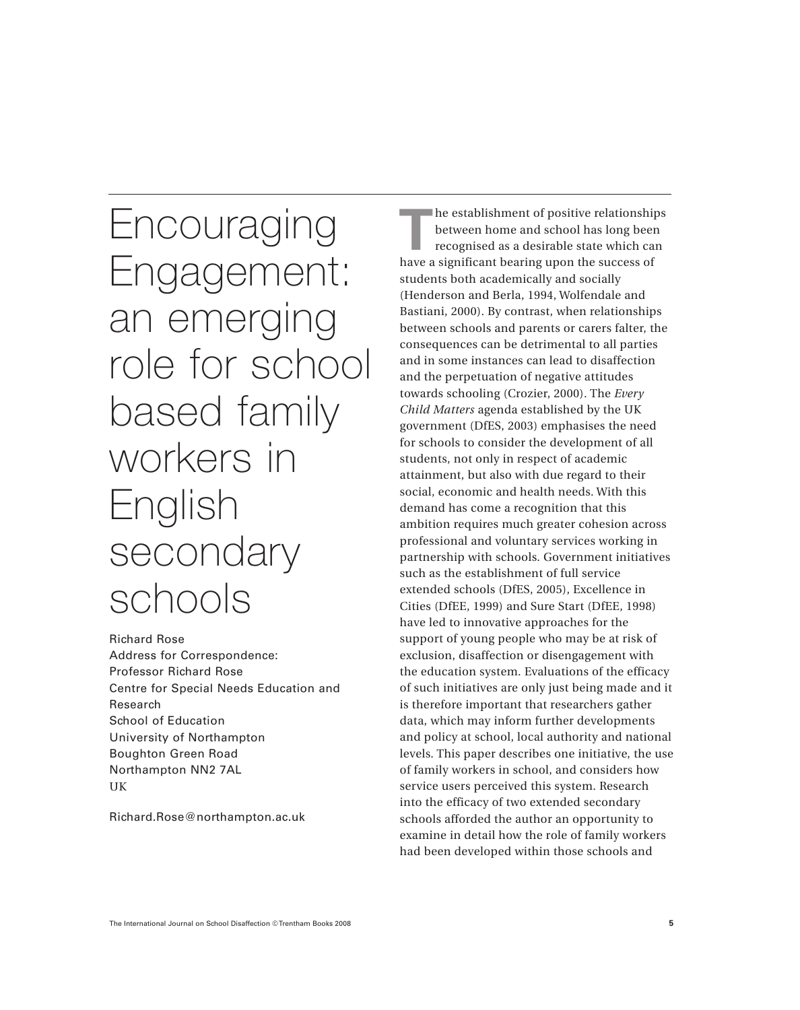Encouraging Engagement: an emerging role for school based family workers in English secondary schools

Richard Rose Address for Correspondence: Professor Richard Rose Centre for Special Needs Education and Research School of Education University of Northampton Boughton Green Road Northampton NN2 7AL UK

Richard.Rose@northampton.ac.uk

**T**he establishment of positive relationships between home and school has long been recognised as a desirable state which can have a significant bearing upon the success of students both academically and socially (Henderson and Berla, 1994, Wolfendale and Bastiani, 2000). By contrast, when relationships between schools and parents or carers falter, the consequences can be detrimental to all parties and in some instances can lead to disaffection and the perpetuation of negative attitudes towards schooling (Crozier, 2000). The *Every Child Matters* agenda established by the UK government (DfES, 2003) emphasises the need for schools to consider the development of all students, not only in respect of academic attainment, but also with due regard to their social, economic and health needs. With this demand has come a recognition that this ambition requires much greater cohesion across professional and voluntary services working in partnership with schools. Government initiatives such as the establishment of full service extended schools (DfES, 2005), Excellence in Cities (DfEE, 1999) and Sure Start (DfEE, 1998) have led to innovative approaches for the support of young people who may be at risk of exclusion, disaffection or disengagement with the education system. Evaluations of the efficacy of such initiatives are only just being made and it is therefore important that researchers gather data, which may inform further developments and policy at school, local authority and national levels. This paper describes one initiative, the use of family workers in school, and considers how service users perceived this system. Research into the efficacy of two extended secondary schools afforded the author an opportunity to examine in detail how the role of family workers had been developed within those schools and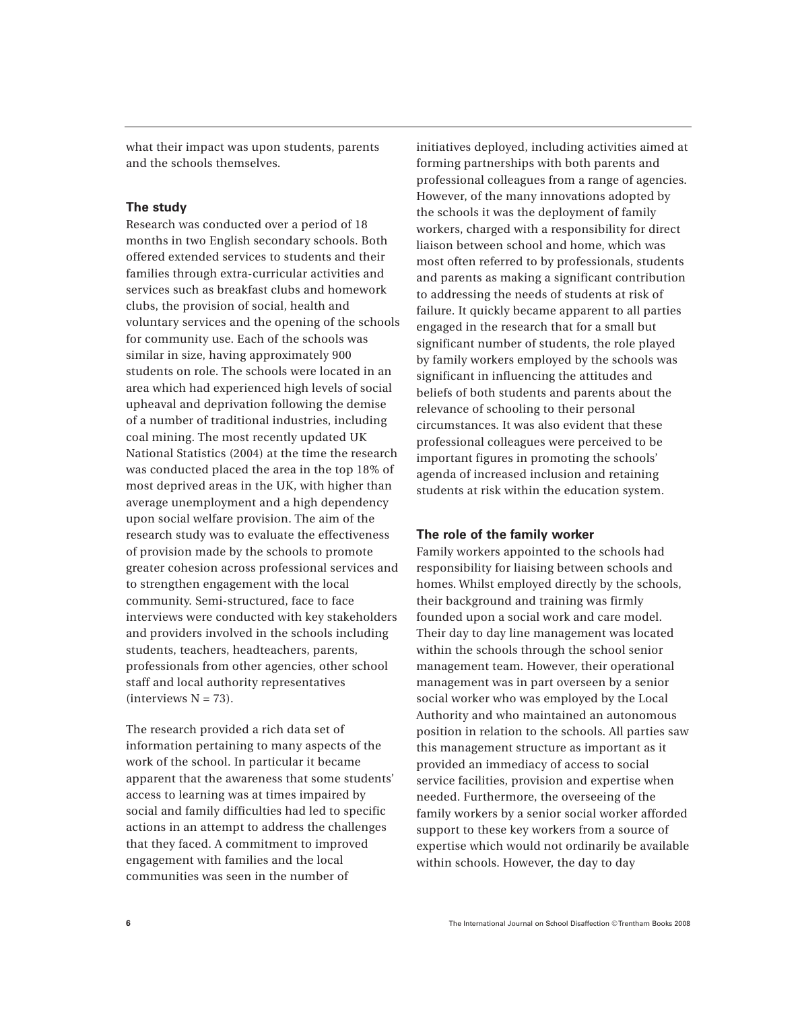what their impact was upon students, parents and the schools themselves.

## **The study**

Research was conducted over a period of 18 months in two English secondary schools. Both offered extended services to students and their families through extra-curricular activities and services such as breakfast clubs and homework clubs, the provision of social, health and voluntary services and the opening of the schools for community use. Each of the schools was similar in size, having approximately 900 students on role. The schools were located in an area which had experienced high levels of social upheaval and deprivation following the demise of a number of traditional industries, including coal mining. The most recently updated UK National Statistics (2004) at the time the research was conducted placed the area in the top 18% of most deprived areas in the UK, with higher than average unemployment and a high dependency upon social welfare provision. The aim of the research study was to evaluate the effectiveness of provision made by the schools to promote greater cohesion across professional services and to strengthen engagement with the local community. Semi-structured, face to face interviews were conducted with key stakeholders and providers involved in the schools including students, teachers, headteachers, parents, professionals from other agencies, other school staff and local authority representatives  $(interviews N = 73)$ .

The research provided a rich data set of information pertaining to many aspects of the work of the school. In particular it became apparent that the awareness that some students' access to learning was at times impaired by social and family difficulties had led to specific actions in an attempt to address the challenges that they faced. A commitment to improved engagement with families and the local communities was seen in the number of

initiatives deployed, including activities aimed at forming partnerships with both parents and professional colleagues from a range of agencies. However, of the many innovations adopted by the schools it was the deployment of family workers, charged with a responsibility for direct liaison between school and home, which was most often referred to by professionals, students and parents as making a significant contribution to addressing the needs of students at risk of failure. It quickly became apparent to all parties engaged in the research that for a small but significant number of students, the role played by family workers employed by the schools was significant in influencing the attitudes and beliefs of both students and parents about the relevance of schooling to their personal circumstances. It was also evident that these professional colleagues were perceived to be important figures in promoting the schools' agenda of increased inclusion and retaining students at risk within the education system.

#### **The role of the family worker**

Family workers appointed to the schools had responsibility for liaising between schools and homes. Whilst employed directly by the schools, their background and training was firmly founded upon a social work and care model. Their day to day line management was located within the schools through the school senior management team. However, their operational management was in part overseen by a senior social worker who was employed by the Local Authority and who maintained an autonomous position in relation to the schools. All parties saw this management structure as important as it provided an immediacy of access to social service facilities, provision and expertise when needed. Furthermore, the overseeing of the family workers by a senior social worker afforded support to these key workers from a source of expertise which would not ordinarily be available within schools. However, the day to day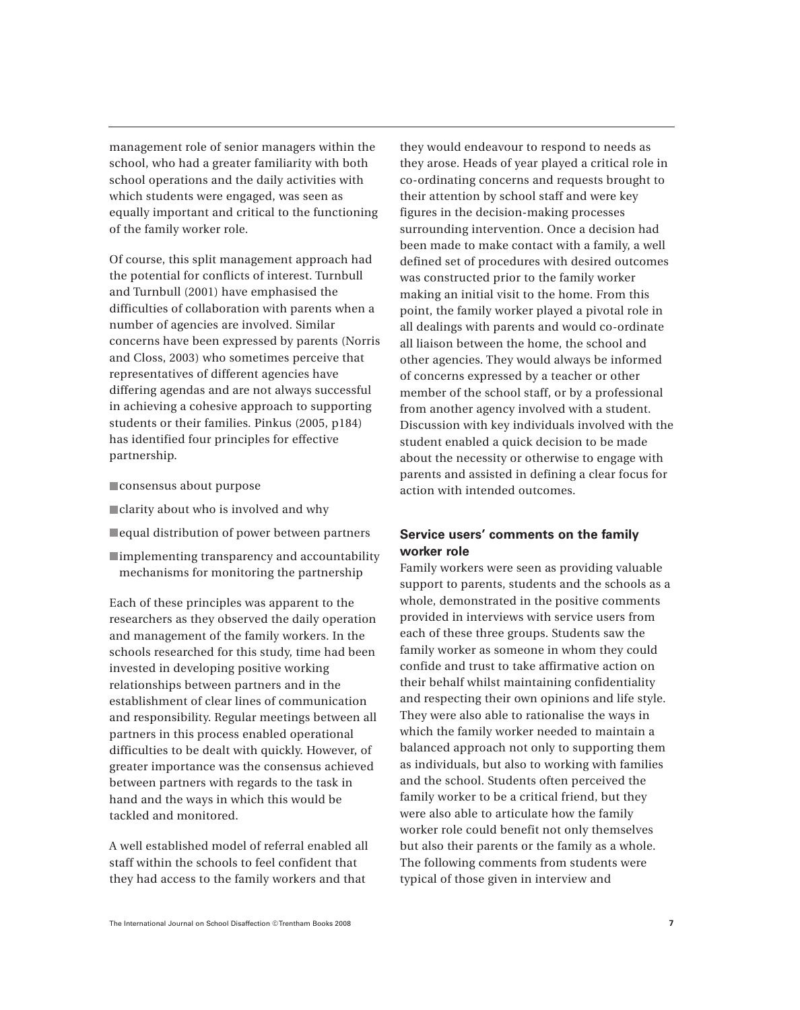management role of senior managers within the school, who had a greater familiarity with both school operations and the daily activities with which students were engaged, was seen as equally important and critical to the functioning of the family worker role.

Of course, this split management approach had the potential for conflicts of interest. Turnbull and Turnbull (2001) have emphasised the difficulties of collaboration with parents when a number of agencies are involved. Similar concerns have been expressed by parents (Norris and Closs, 2003) who sometimes perceive that representatives of different agencies have differing agendas and are not always successful in achieving a cohesive approach to supporting students or their families. Pinkus (2005, p184) has identified four principles for effective partnership.

- consensus about purpose
- **Clarity about who is involved and why**
- equal distribution of power between partners
- implementing transparency and accountability mechanisms for monitoring the partnership

Each of these principles was apparent to the researchers as they observed the daily operation and management of the family workers. In the schools researched for this study, time had been invested in developing positive working relationships between partners and in the establishment of clear lines of communication and responsibility. Regular meetings between all partners in this process enabled operational difficulties to be dealt with quickly. However, of greater importance was the consensus achieved between partners with regards to the task in hand and the ways in which this would be tackled and monitored.

A well established model of referral enabled all staff within the schools to feel confident that they had access to the family workers and that

they would endeavour to respond to needs as they arose. Heads of year played a critical role in co-ordinating concerns and requests brought to their attention by school staff and were key figures in the decision-making processes surrounding intervention. Once a decision had been made to make contact with a family, a well defined set of procedures with desired outcomes was constructed prior to the family worker making an initial visit to the home. From this point, the family worker played a pivotal role in all dealings with parents and would co-ordinate all liaison between the home, the school and other agencies. They would always be informed of concerns expressed by a teacher or other member of the school staff, or by a professional from another agency involved with a student. Discussion with key individuals involved with the student enabled a quick decision to be made about the necessity or otherwise to engage with parents and assisted in defining a clear focus for action with intended outcomes.

# **Service users' comments on the family worker role**

Family workers were seen as providing valuable support to parents, students and the schools as a whole, demonstrated in the positive comments provided in interviews with service users from each of these three groups. Students saw the family worker as someone in whom they could confide and trust to take affirmative action on their behalf whilst maintaining confidentiality and respecting their own opinions and life style. They were also able to rationalise the ways in which the family worker needed to maintain a balanced approach not only to supporting them as individuals, but also to working with families and the school. Students often perceived the family worker to be a critical friend, but they were also able to articulate how the family worker role could benefit not only themselves but also their parents or the family as a whole. The following comments from students were typical of those given in interview and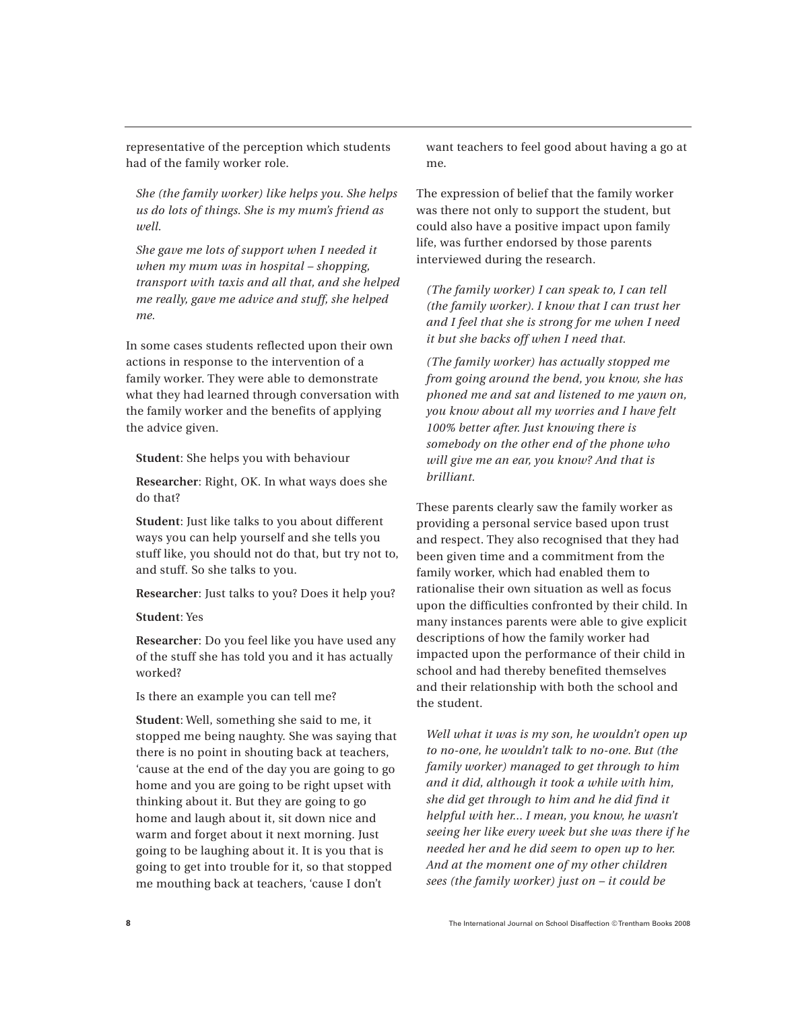representative of the perception which students had of the family worker role.

*She (the family worker) like helps you. She helps us do lots of things. She is my mum's friend as well.*

*She gave me lots of support when I needed it when my mum was in hospital – shopping, transport with taxis and all that, and she helped me really, gave me advice and stuff, she helped me.*

In some cases students reflected upon their own actions in response to the intervention of a family worker. They were able to demonstrate what they had learned through conversation with the family worker and the benefits of applying the advice given.

**Student**: She helps you with behaviour

**Researcher**: Right, OK. In what ways does she do that?

**Student**: Just like talks to you about different ways you can help yourself and she tells you stuff like, you should not do that, but try not to, and stuff. So she talks to you.

**Researcher**: Just talks to you? Does it help you?

### **Student**: Yes

**Researcher**: Do you feel like you have used any of the stuff she has told you and it has actually worked?

Is there an example you can tell me?

**Student**: Well, something she said to me, it stopped me being naughty. She was saying that there is no point in shouting back at teachers, 'cause at the end of the day you are going to go home and you are going to be right upset with thinking about it. But they are going to go home and laugh about it, sit down nice and warm and forget about it next morning. Just going to be laughing about it. It is you that is going to get into trouble for it, so that stopped me mouthing back at teachers, 'cause I don't

want teachers to feel good about having a go at me.

The expression of belief that the family worker was there not only to support the student, but could also have a positive impact upon family life, was further endorsed by those parents interviewed during the research.

*(The family worker) I can speak to, I can tell (the family worker). I know that I can trust her and I feel that she is strong for me when I need it but she backs off when I need that.*

*(The family worker) has actually stopped me from going around the bend, you know, she has phoned me and sat and listened to me yawn on, you know about all my worries and I have felt 100% better after. Just knowing there is somebody on the other end of the phone who will give me an ear, you know? And that is brilliant.*

These parents clearly saw the family worker as providing a personal service based upon trust and respect. They also recognised that they had been given time and a commitment from the family worker, which had enabled them to rationalise their own situation as well as focus upon the difficulties confronted by their child. In many instances parents were able to give explicit descriptions of how the family worker had impacted upon the performance of their child in school and had thereby benefited themselves and their relationship with both the school and the student.

*Well what it was is my son, he wouldn't open up to no-one, he wouldn't talk to no-one. But (the family worker) managed to get through to him and it did, although it took a while with him, she did get through to him and he did find it helpful with her... I mean, you know, he wasn't seeing her like every week but she was there if he needed her and he did seem to open up to her. And at the moment one of my other children sees (the family worker) just on – it could be*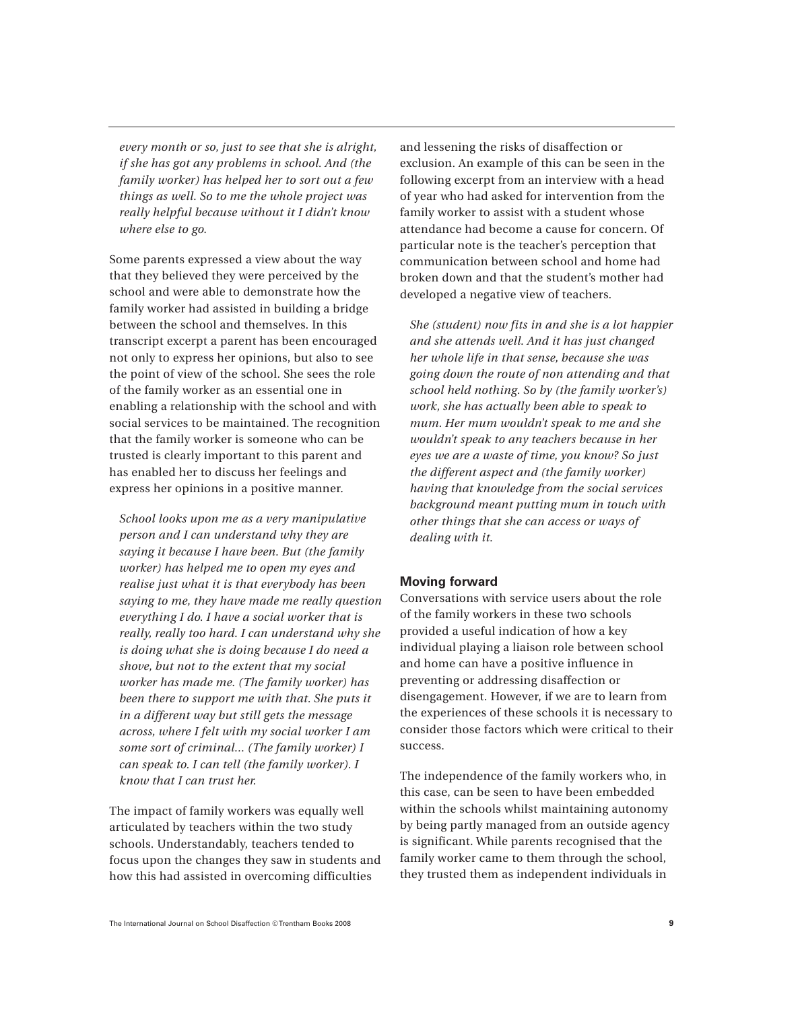*every month or so, just to see that she is alright, if she has got any problems in school. And (the family worker) has helped her to sort out a few things as well. So to me the whole project was really helpful because without it I didn't know where else to go.*

Some parents expressed a view about the way that they believed they were perceived by the school and were able to demonstrate how the family worker had assisted in building a bridge between the school and themselves. In this transcript excerpt a parent has been encouraged not only to express her opinions, but also to see the point of view of the school. She sees the role of the family worker as an essential one in enabling a relationship with the school and with social services to be maintained. The recognition that the family worker is someone who can be trusted is clearly important to this parent and has enabled her to discuss her feelings and express her opinions in a positive manner.

*School looks upon me as a very manipulative person and I can understand why they are saying it because I have been. But (the family worker) has helped me to open my eyes and realise just what it is that everybody has been saying to me, they have made me really question everything I do. I have a social worker that is really, really too hard. I can understand why she is doing what she is doing because I do need a shove, but not to the extent that my social worker has made me. (The family worker) has been there to support me with that. She puts it in a different way but still gets the message across, where I felt with my social worker I am some sort of criminal... (The family worker) I can speak to. I can tell (the family worker). I know that I can trust her.*

The impact of family workers was equally well articulated by teachers within the two study schools. Understandably, teachers tended to focus upon the changes they saw in students and how this had assisted in overcoming difficulties

and lessening the risks of disaffection or exclusion. An example of this can be seen in the following excerpt from an interview with a head of year who had asked for intervention from the family worker to assist with a student whose attendance had become a cause for concern. Of particular note is the teacher's perception that communication between school and home had broken down and that the student's mother had developed a negative view of teachers.

*She (student) now fits in and she is a lot happier and she attends well. And it has just changed her whole life in that sense, because she was going down the route of non attending and that school held nothing. So by (the family worker's) work, she has actually been able to speak to mum. Her mum wouldn't speak to me and she wouldn't speak to any teachers because in her eyes we are a waste of time, you know? So just the different aspect and (the family worker) having that knowledge from the social services background meant putting mum in touch with other things that she can access or ways of dealing with it.*

# **Moving forward**

Conversations with service users about the role of the family workers in these two schools provided a useful indication of how a key individual playing a liaison role between school and home can have a positive influence in preventing or addressing disaffection or disengagement. However, if we are to learn from the experiences of these schools it is necessary to consider those factors which were critical to their success.

The independence of the family workers who, in this case, can be seen to have been embedded within the schools whilst maintaining autonomy by being partly managed from an outside agency is significant. While parents recognised that the family worker came to them through the school, they trusted them as independent individuals in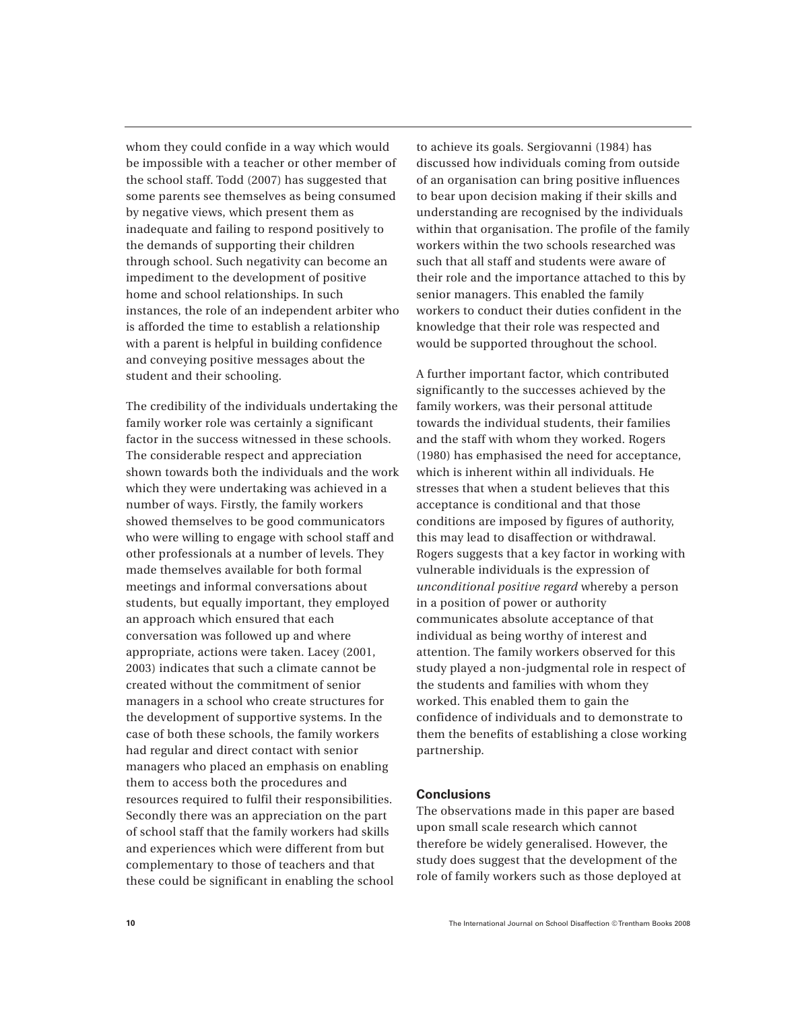whom they could confide in a way which would be impossible with a teacher or other member of the school staff. Todd (2007) has suggested that some parents see themselves as being consumed by negative views, which present them as inadequate and failing to respond positively to the demands of supporting their children through school. Such negativity can become an impediment to the development of positive home and school relationships. In such instances, the role of an independent arbiter who is afforded the time to establish a relationship with a parent is helpful in building confidence and conveying positive messages about the student and their schooling.

The credibility of the individuals undertaking the family worker role was certainly a significant factor in the success witnessed in these schools. The considerable respect and appreciation shown towards both the individuals and the work which they were undertaking was achieved in a number of ways. Firstly, the family workers showed themselves to be good communicators who were willing to engage with school staff and other professionals at a number of levels. They made themselves available for both formal meetings and informal conversations about students, but equally important, they employed an approach which ensured that each conversation was followed up and where appropriate, actions were taken. Lacey (2001, 2003) indicates that such a climate cannot be created without the commitment of senior managers in a school who create structures for the development of supportive systems. In the case of both these schools, the family workers had regular and direct contact with senior managers who placed an emphasis on enabling them to access both the procedures and resources required to fulfil their responsibilities. Secondly there was an appreciation on the part of school staff that the family workers had skills and experiences which were different from but complementary to those of teachers and that these could be significant in enabling the school

to achieve its goals. Sergiovanni (1984) has discussed how individuals coming from outside of an organisation can bring positive influences to bear upon decision making if their skills and understanding are recognised by the individuals within that organisation. The profile of the family workers within the two schools researched was such that all staff and students were aware of their role and the importance attached to this by senior managers. This enabled the family workers to conduct their duties confident in the knowledge that their role was respected and would be supported throughout the school.

A further important factor, which contributed significantly to the successes achieved by the family workers, was their personal attitude towards the individual students, their families and the staff with whom they worked. Rogers (1980) has emphasised the need for acceptance, which is inherent within all individuals. He stresses that when a student believes that this acceptance is conditional and that those conditions are imposed by figures of authority, this may lead to disaffection or withdrawal. Rogers suggests that a key factor in working with vulnerable individuals is the expression of *unconditional positive regard* whereby a person in a position of power or authority communicates absolute acceptance of that individual as being worthy of interest and attention. The family workers observed for this study played a non-judgmental role in respect of the students and families with whom they worked. This enabled them to gain the confidence of individuals and to demonstrate to them the benefits of establishing a close working partnership.

#### **Conclusions**

The observations made in this paper are based upon small scale research which cannot therefore be widely generalised. However, the study does suggest that the development of the role of family workers such as those deployed at